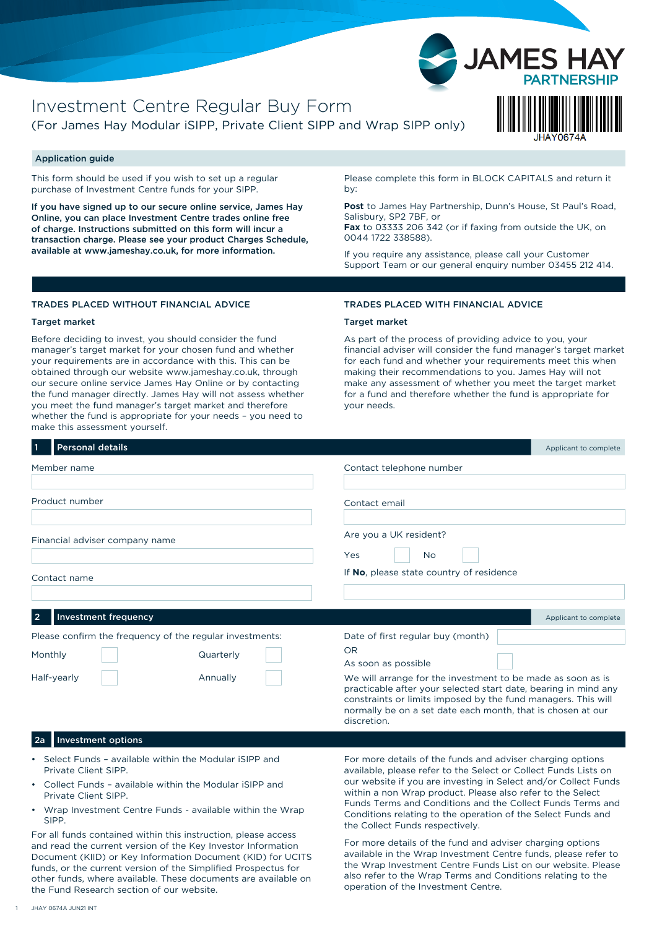

## Application guide

This form should be used if you wish to set up a regular purchase of Investment Centre funds for your SIPP.

If you have signed up to our secure online service, James Hay Online, you can place Investment Centre trades online free of charge. Instructions submitted on this form will incur a transaction charge. Please see your product Charges Schedule, available at www.jameshay.co.uk, for more information.

Please complete this form in BLOCK CAPITALS and return it by:

**Post** to James Hay Partnership, Dunn's House, St Paul's Road, Salisbury, SP2 7BF, or

**Fax** to 03333 206 342 (or if faxing from outside the UK, on 0044 1722 338588).

If you require any assistance, please call your Customer Support Team or our general enquiry number 03455 212 414.

## TRADES PLACED WITHOUT FINANCIAL ADVICE

#### Target market

Before deciding to invest, you should consider the fund manager's target market for your chosen fund and whether your requirements are in accordance with this. This can be obtained through our website www.jameshay.co.uk, through our secure online service James Hay Online or by contacting the fund manager directly. James Hay will not assess whether you meet the fund manager's target market and therefore whether the fund is appropriate for your needs – you need to make this assessment yourself.

#### TRADES PLACED WITH FINANCIAL ADVICE

#### Target market

As part of the process of providing advice to you, your financial adviser will consider the fund manager's target market for each fund and whether your requirements meet this when making their recommendations to you. James Hay will not make any assessment of whether you meet the target market for a fund and therefore whether the fund is appropriate for your needs.

| <b>Personal details</b><br>  1                           | Applicant to complete                                                                                                                                                                                                                                          |
|----------------------------------------------------------|----------------------------------------------------------------------------------------------------------------------------------------------------------------------------------------------------------------------------------------------------------------|
| Member name                                              | Contact telephone number                                                                                                                                                                                                                                       |
| Product number                                           | Contact email                                                                                                                                                                                                                                                  |
| Financial adviser company name                           | Are you a UK resident?<br>Yes<br>No.                                                                                                                                                                                                                           |
| Contact name                                             | If No, please state country of residence                                                                                                                                                                                                                       |
|                                                          |                                                                                                                                                                                                                                                                |
| <b>Investment frequency</b><br>$\overline{2}$            | Applicant to complete                                                                                                                                                                                                                                          |
| Please confirm the frequency of the regular investments: | Date of first regular buy (month)                                                                                                                                                                                                                              |
| Monthly<br>Quarterly                                     | <b>OR</b><br>As soon as possible                                                                                                                                                                                                                               |
| Half-yearly<br>Annually                                  | We will arrange for the investment to be made as soon as is<br>practicable after your selected start date, bearing in mind any<br>constraints or limits imposed by the fund managers. This will<br>normally be on a set date each month, that is chosen at our |

discretion.

## 2a Investment options

- Select Funds available within the Modular iSIPP and Private Client SIPP.
- Collect Funds available within the Modular iSIPP and Private Client SIPP.
- Wrap Investment Centre Funds available within the Wrap SIPP.

For all funds contained within this instruction, please access and read the current version of the Key Investor Information Document (KIID) or Key Information Document (KID) for UCITS funds, or the current version of the Simplified Prospectus for other funds, where available. These documents are available on the Fund Research section of our website.

For more details of the funds and adviser charging options available, please refer to the Select or Collect Funds Lists on our website if you are investing in Select and/or Collect Funds within a non Wrap product. Please also refer to the Select Funds Terms and Conditions and the Collect Funds Terms and Conditions relating to the operation of the Select Funds and the Collect Funds respectively.

For more details of the fund and adviser charging options available in the Wrap Investment Centre funds, please refer to the Wrap Investment Centre Funds List on our website. Please also refer to the Wrap Terms and Conditions relating to the operation of the Investment Centre.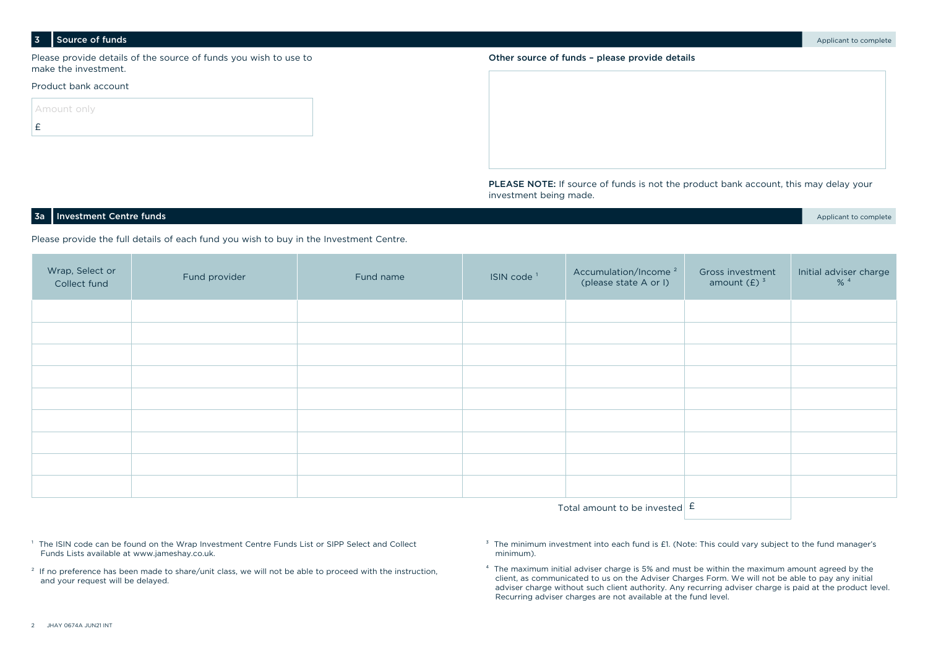#### 3 Source of funds and the complete of the complete of the complete of the complete of the complete of the complete of the complete of the complete of the complete of the complete of the complete of the complete of the comp

Please provide details of the source of funds you wish to use to make the investment.

## Product bank account

| Amount only  |  |  |  |
|--------------|--|--|--|
| $\mathbf{f}$ |  |  |  |



PLEASE NOTE: If source of funds is not the product bank account, this may delay your investment being made.

## **3a** Investment Centre funds **Applicant to complete** the complete of the complete of the complete of the complete of the complete of the complete of the complete of the complete of the complete of the complete of the compl

Please provide the full details of each fund you wish to buy in the Investment Centre.

| Wrap, Select or<br>Collect fund | Fund provider | Fund name | ISIN code <sup>1</sup> | Accumulation/Income <sup>2</sup><br>(please state A or I) | Gross investment<br>amount $(E)$ <sup>3</sup> | Initial adviser charge<br>$% ^{4}$ |
|---------------------------------|---------------|-----------|------------------------|-----------------------------------------------------------|-----------------------------------------------|------------------------------------|
|                                 |               |           |                        |                                                           |                                               |                                    |
|                                 |               |           |                        |                                                           |                                               |                                    |
|                                 |               |           |                        |                                                           |                                               |                                    |
|                                 |               |           |                        |                                                           |                                               |                                    |
|                                 |               |           |                        |                                                           |                                               |                                    |
|                                 |               |           |                        |                                                           |                                               |                                    |
|                                 |               |           |                        |                                                           |                                               |                                    |
|                                 |               |           |                        |                                                           |                                               |                                    |
|                                 |               |           |                        |                                                           |                                               |                                    |
|                                 |               |           |                        |                                                           |                                               |                                    |

Total amount to be invested  $\mathsf E$ 

<sup>1</sup> The ISIN code can be found on the Wrap Investment Centre Funds List or SIPP Select and Collect Funds Lists available at www.jameshay.co.uk.

<sup>2</sup> If no preference has been made to share/unit class, we will not be able to proceed with the instruction, and your request will be delayed.

<sup>3</sup> The minimum investment into each fund is £1. (Note: This could vary subject to the fund manager's minimum).

⁴ The maximum initial adviser charge is 5% and must be within the maximum amount agreed by the client, as communicated to us on the Adviser Charges Form. We will not be able to pay any initial adviser charge without such client authority. Any recurring adviser charge is paid at the product level. Recurring adviser charges are not available at the fund level.